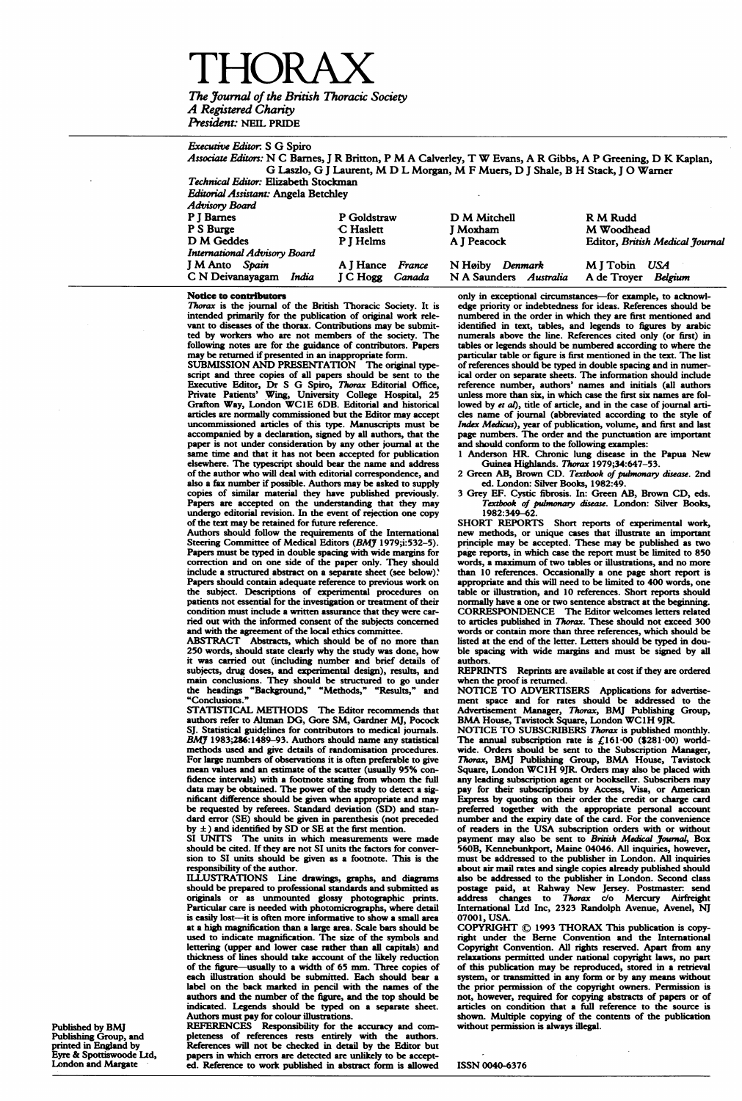A Registered Charty President: NEIL PRIDE

Executive Editor: <sup>S</sup> G Spiro

Associate Editors: N C Bames, <sup>J</sup> R Britton, <sup>P</sup> M A Calverley, T W Evans, A R Gibbs, A <sup>P</sup> Greening, D K Kaplan, G Laszlo, G <sup>J</sup> Laurent, M D <sup>L</sup> Morgan, M <sup>F</sup> Muers, D <sup>J</sup> Shale, <sup>B</sup> H Stack, <sup>J</sup> 0 Warner Technical Editor: Elizabeth Stockman

Editorial Assistant: Angela Betchley

| Advisory Board                      |                           |                        |                                 |
|-------------------------------------|---------------------------|------------------------|---------------------------------|
| P J Barnes                          | P Goldstraw               | D M Mitchell           | R M Rudd                        |
| P S Burge                           | C Haslett                 | J Moxham               | M Woodhead                      |
| D M Geddes                          | P I Helms                 | A J Peacock            | Editor, British Medical Journal |
| <b>International Advisory Board</b> |                           |                        |                                 |
| <b>J M Anto</b> Spain               | A J Hance France          | N Høiby<br>Denmark     | MITobin USA                     |
| C N Deivanayagam<br>India           | <b>I</b> C Hogg<br>Canada | N A Saunders Australia | A de Trover<br>Belgium          |

#### Notice to contributors

Thorax is the journal of the British Thoracic Society. It is intended primarily for the publication of original work relevant to diseases of the thorax. Contributions may be submit-ted by workers who are not members of the society. The following notes are for the guidance of contributors. Papers may be returned if presented in an inappropriate form. SUBMISSION AND PRESENTATION The original type-

script and three copies of all papers should be sent to the Executive Editor, Dr S G Spiro, Thorax Editorial Office, Private Patients' Wing, University College Hospital, 25<br>Private Patients' Wing, University College Hospit articles are normally commissioned but the Editor may accept uncommissioned articles of this type. Manuscripts must be accompanied by a declaration, signed by all authors, that the paper is not under consideration by any other joumal at the same time and that it has not been accepted for publication elsewhere. The typescript should bear the name and address of the author who will deal with editorial correspondence, and also <sup>a</sup> fax number if possible. Authors may be asked to supply copies of similar material they have published previously. Papers are accepted on the understanding that they may undergo editorial revision. In the event of rejection one copy of the text may be retained for future reference.

Authors should follow the requirements of the International Steering Committee of Medical Editors (BMY 1979;i:532-5). Papers must be typed in double spacing with wide margins for correction and on one side of the paper only. They should include a structured abstract on a separate sheet (see below) ' Papers should contain adequate reference to previous work on the subject. Descriptions of expeimental procedures on patients not essential for the investigation or treatment of their condition must include a written assurance that they were carried out with the informed consent of the subjects concerned and with the agreement of the local ethics committee.

ABSTRACT Abstracts, which should be of no more than 250 words, should state clearly why the study was done, how it was carried out (including number and brief details of subjects, drug doses, and experimental design), results, and main conclusions. They should be structured to go under the headings "Background," "Methods," "Results," and "Conclusions."

STATISTICAL METHODS The Editor recommends that authors refer to Altman DG, Gore SM, Gardner MJ, Pocock SJ. Statistical guidelines for contributors to medical journals. BMJ 1983;286:1489-93. Authors should name any statistical methods used and give details of randomisation procedures. For large numbers of observations it is often preferable to give mean values and an estimate of the scatter (usually 95% confidence intervals) with <sup>a</sup> footnote stating from whom the full data may be obtained. The power of the study to detect a significant difference should be given when appropriate and may be requested by referees. Standard deviation (SD) and standard error (SE) should be given in parenthesis (not preceded by ±) and identified by SD or SE at the first mention. SI UNITS The units in which measurements were made

should be cited. If they are not SI units the factors for conversion to SI units should be given as a footnote. This is the

responsibility of the author. ILLUSTRATIONS Line drawings, graphs, and diagrams should be prepared to professional standards and submitted as originals or as unmounted glossy photographic prints. Particular care is needed with photomicrographs, where detail is easily lost-it is often more informative to show a small area at a high magnification than a large area. Scale bars should be used to indicate magnification. The size of the symbols and lettering (upper and lower case rather than all capitals) and thickness of lines should take account of the likely reduction of the figure-usually to <sup>a</sup> width of 65 mm. Three copies of each illustration should be submitted. Each should bear a label on the back marked in pencil with the names of the authors and the number of the figure, and the top should be indicated. Legends should be typed on a separate sheet.

Authors must pay for colour illustrations. REFERENCES Responsibility for the accuracy and com-pleteness of references rests entirely with the authors. References will not be checked <sup>i</sup> detail by the Editor but papers in which errors are detected are unlikely to be accept-ed. Reference to work published in abstract form is allowed only in exceptional circumstances-for example, to acknowledge priority or indebtedness for ideas. References should be numbered in the order in which they are first mentioned and identified in text, tables, and legends to figures by arabic numerals above the line. References cited oniy (or first) in tables or legends should be numbered according to where the particular table or figure is first mentioned in the text. The list of references should be typed in double spacing and in numer-ical order on separate sheets. The information should include reference number, authors' names and initials (all authors unless more than six, in which case the first six names are followed by et al), title of article, and in the case of journal articles name of journal (abbreviated according to the style of Index Medicus), year of publication, volume, and first and last page numbers. The order and the punctuation are important and should conform to the following examples:

1 Anderson HR. Chronic lung disease in the Papua New<br>Guinea Highlands. Thorax 1979;34:647-53.<br>2 Green AB, Brown CD. Textbook of pulmonary disease. 2nd

ed. London: Silver Books, 1982:49. 3 Grey EF. Cystic fibrosis. In: Green AB, Brown CD, eds. Textbook of pulmonary disease. London: Silver Bools,

1982:349-62. SHORT REPORTS Short reports of experimental work, new methods, or unique cases that illustrate an important principle may be accepted. These may be published as two page reports, in which case the report must be limited to 850 words, <sup>a</sup> maximum of two tables or illustrations, and no more than 10 references. Occasionally a one page short report is appropriate and this will need to be limited to 400 words, one table or illustration, and 10 references. Short reports should normally have a one or two sentence abstract at the beginning.<br>CORRESPONDENCE The Editor welcomes letters related<br>to articles published in *Thorax*. These should not exceed 300 words or contain more than three references, which should be listed at the end of the letter. Letters should be typed in dou-ble spacing with wide margins and must be signed by all

authors. REPRINTS Reprints are available at cost if they are ordered when the proof is returned.

NOTICE TO ADVERTISERS Applications for advertise-

ment space and for rates should be addressed to the Advertisement Manager, *Thorax*, BMJ Publishing Group, BMA House, Tavistock Square, London WC1H 9JR.<br>NOTICE TO SUBSCRIBERS *Thorax* is published monthly.<br>The annual subs Thorax, BMJ Publishing Group, BMA House, Tavistock Square, London WC1H 9JR. Orders may also be placed with any leading subscription agent or bookseller. Subscribers may pay for their subscriptions by Access, Visa, or American Express by quoting on their order the credit or charge card preferred together with the appropriate personal account number and the expiry date of the card. For the convenience of readers in the USA subscription orders with or without payment may also be sent to *British Medical Journal*, Box 560B, Kennebunkport, Maine 04046. All inquiries, however, must be addressed to the publisher in London. All inquiries about air mail rates and single copies already published should also be addressed to the publisher in London. Second class postage paid, at Rahway New Jersey. Postmaster: send<br>address changes to Thorax c/o Mercury Airfreight<br>International Ltd Inc, 2323 Randolph Avenue, Avenel, NJ 07001, USA.

COPYRIGHT © <sup>1993</sup> THORAX This publication is copy-right under the Berne Convention and the International Copyright Convention. All rights reserved. Apart from any relaxations permitted under national copyright laws, no part of this publication may be reproduced, stored in <sup>a</sup> retrieval system, or tranitted in any form or by any means without the prior permission of the copyright owners. Permission is<br>not, however, required for copying abstracts of papers or of<br>articles on condition that a full reference to the source is shown. Multiple copying of the contents of the publication without permission is always illegal.

ISSN 0040-6376

Published by BMJ Publishing Group, and printed in England by Eyre & Spottiswoode Itd, London and Margate